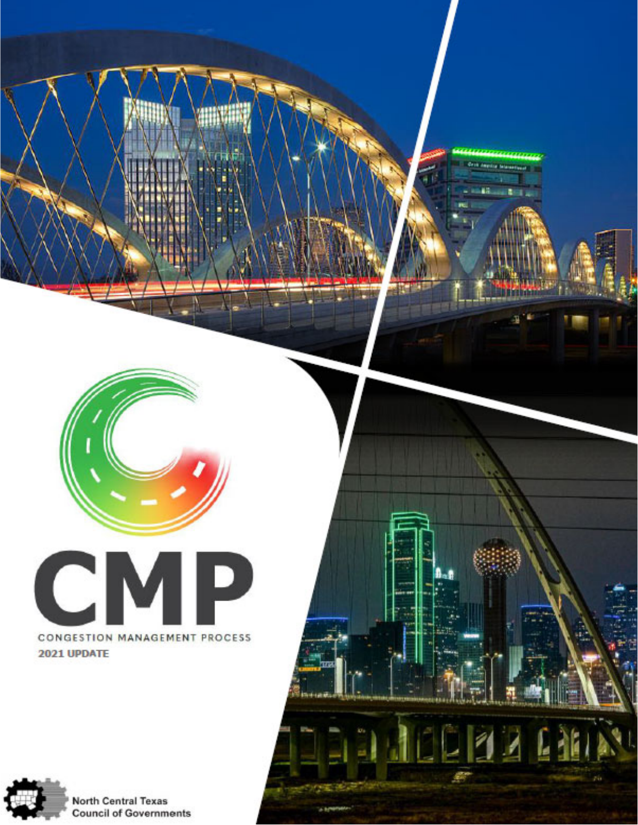

G an Cit

יו דו

 $\overline{A}$ 

Ę

L



2021 UPDATE



**North Central Texas Council of Governments**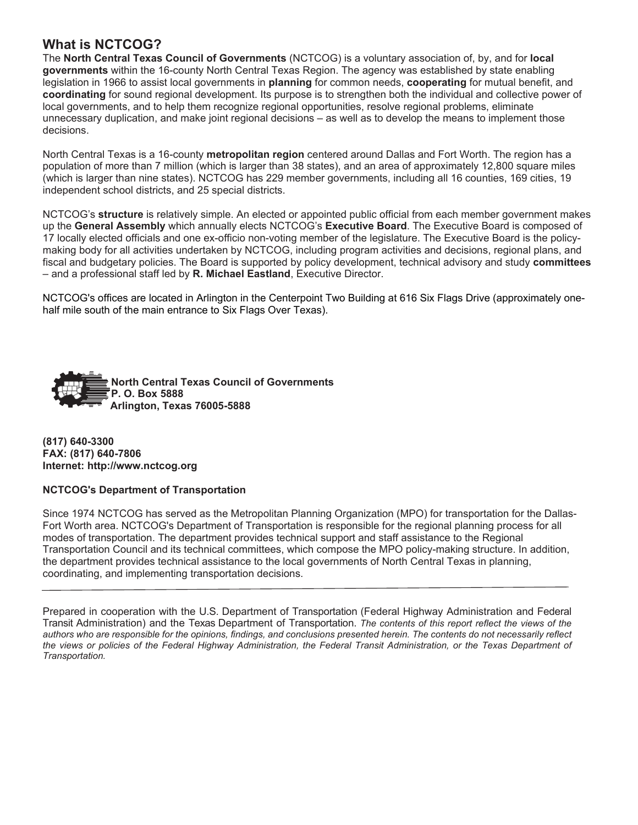## **What is NCTCOG?**

The **North Central Texas Council of Governments** (NCTCOG) is a voluntary association of, by, and for **local governments** within the 16-county North Central Texas Region. The agency was established by state enabling legislation in 1966 to assist local governments in **planning** for common needs, **cooperating** for mutual benefit, and **coordinating** for sound regional development. Its purpose is to strengthen both the individual and collective power of local governments, and to help them recognize regional opportunities, resolve regional problems, eliminate unnecessary duplication, and make joint regional decisions – as well as to develop the means to implement those decisions.

North Central Texas is a 16-county **metropolitan region** centered around Dallas and Fort Worth. The region has a population of more than 7 million (which is larger than 38 states), and an area of approximately 12,800 square miles (which is larger than nine states). NCTCOG has 229 member governments, including all 16 counties, 169 cities, 19 independent school districts, and 25 special districts.

NCTCOG's **structure** is relatively simple. An elected or appointed public official from each member government makes up the **General Assembly** which annually elects NCTCOG's **Executive Board**. The Executive Board is composed of 17 locally elected officials and one ex-officio non-voting member of the legislature. The Executive Board is the policymaking body for all activities undertaken by NCTCOG, including program activities and decisions, regional plans, and fiscal and budgetary policies. The Board is supported by policy development, technical advisory and study **committees**  – and a professional staff led by **R. Michael Eastland**, Executive Director.

NCTCOG's offices are located in Arlington in the Centerpoint Two Building at 616 Six Flags Drive (approximately onehalf mile south of the main entrance to Six Flags Over Texas).



**(817) 640-3300 FAX: (817) 640-7806 Internet: http://www.nctcog.org**

#### **NCTCOG's Department of Transportation**

Since 1974 NCTCOG has served as the Metropolitan Planning Organization (MPO) for transportation for the Dallas-Fort Worth area. NCTCOG's Department of Transportation is responsible for the regional planning process for all modes of transportation. The department provides technical support and staff assistance to the Regional Transportation Council and its technical committees, which compose the MPO policy-making structure. In addition, the department provides technical assistance to the local governments of North Central Texas in planning, coordinating, and implementing transportation decisions.

Prepared in cooperation with the U.S. Department of Transportation (Federal Highway Administration and Federal Transit Administration) and the Texas Department of Transportation. *The contents of this report reflect the views of the authors who are responsible for the opinions, findings, and conclusions presented herein. The contents do not necessarily reflect the views or policies of the Federal Highway Administration, the Federal Transit Administration, or the Texas Department of Transportation.*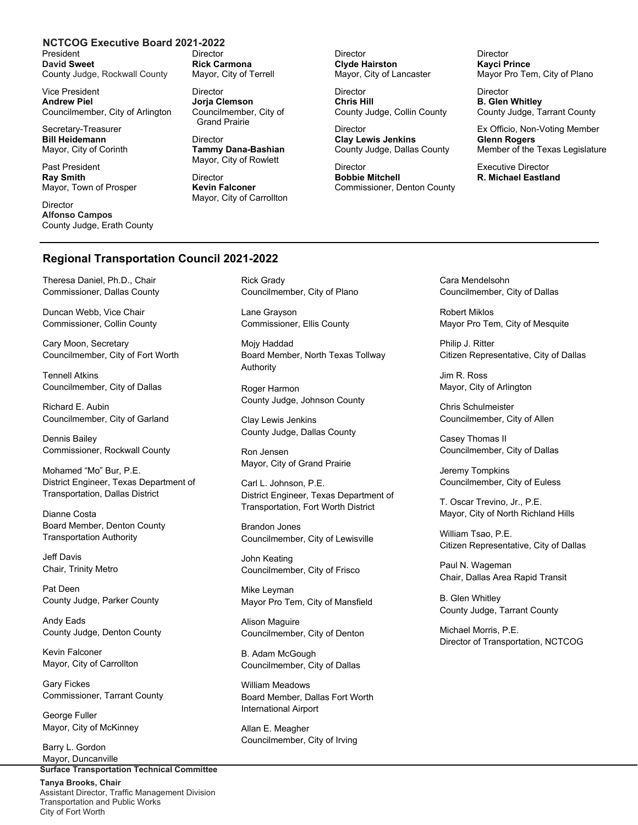#### **NCTCOG Executive Board 2021-2022**

President **David Sweet** County Judge, Rockwall County

Vice President **Andrew Piel**  Councilmember, City of Arlington

Secretary-Treasurer **Bill Heidemann** Mayor, City of Corinth

Past President **Ray Smith**  Mayor, Town of Prosper

**Director Alfonso Campos**  County Judge, Erath County Director **Rick Carmona**  Mayor, City of Terrell

Director **Jorja Clemson**  Councilmember, City of Grand Prairie

**Director Tammy Dana-Bashian**  Mayor, City of Rowlett

**Director Kevin Falconer**  Mayor, City of Carrollton **Director Clyde Hairston**  Mayor, City of Lancaster

**Director Chris Hill**  County Judge, Collin County

**Director Clay Lewis Jenkins** County Judge, Dallas County

**Director Bobbie Mitchell** Commissioner, Denton County **Director Kayci Prince**  Mayor Pro Tem, City of Plano

Director **B. Glen Whitley** County Judge, Tarrant County

Ex Officio, Non-Voting Member **Glenn Rogers**  Member of the Texas Legislature

Executive Director **R. Michael Eastland**

#### **Regional Transportation Council 2021-2022**

Theresa Daniel, Ph.D., Chair Commissioner, Dallas County

Duncan Webb, Vice Chair Commissioner, Collin County

Cary Moon, Secretary Councilmember, City of Fort Worth

Tennell Atkins Councilmember, City of Dallas

Richard E. Aubin Councilmember, City of Garland

Dennis Bailey Commissioner, Rockwall County

Mohamed "Mo" Bur, P.E. District Engineer, Texas Department of Transportation, Dallas District

Dianne Costa Board Member, Denton County Transportation Authority

Jeff Davis Chair, Trinity Metro

Pat Deen County Judge, Parker County

Andy Eads County Judge, Denton County

Kevin Falconer Mayor, City of Carrollton

Gary Fickes Commissioner, Tarrant County

George Fuller Mayor, City of McKinney

**Surface Transportation Technical Committee**  Barry L. Gordon Mayor, Duncanville

**Tanya Brooks, Chair**  Assistant Director, Traffic Management Division Transportation and Public Works City of Fort Worth

Rick Grady Councilmember, City of Plano

Lane Grayson Commissioner, Ellis County

Mojy Haddad Board Member, North Texas Tollway Authority

Roger Harmon County Judge, Johnson County

Clay Lewis Jenkins County Judge, Dallas County

Ron Jensen Mayor, City of Grand Prairie

Carl L. Johnson, P.E. District Engineer, Texas Department of Transportation, Fort Worth District

Brandon Jones Councilmember, City of Lewisville

John Keating Councilmember, City of Frisco

Mike Leyman Mayor Pro Tem, City of Mansfield

Alison Maguire Councilmember, City of Denton

B. Adam McGough Councilmember, City of Dallas

William Meadows Board Member, Dallas Fort Worth International Airport

Allan E. Meagher Councilmember, City of Irving Cara Mendelsohn Councilmember, City of Dallas

Robert Miklos Mayor Pro Tem, City of Mesquite

Philip J. Ritter Citizen Representative, City of Dallas

Jim R. Ross Mayor, City of Arlington

Chris Schulmeister Councilmember, City of Allen

Casey Thomas II Councilmember, City of Dallas

Jeremy Tompkins Councilmember, City of Euless

T. Oscar Trevino, Jr., P.E. Mayor, City of North Richland Hills

William Tsao, P.E. Citizen Representative, City of Dallas

Paul N. Wageman Chair, Dallas Area Rapid Transit

B. Glen Whitley County Judge, Tarrant County

Michael Morris, P.E. Director of Transportation, NCTCOG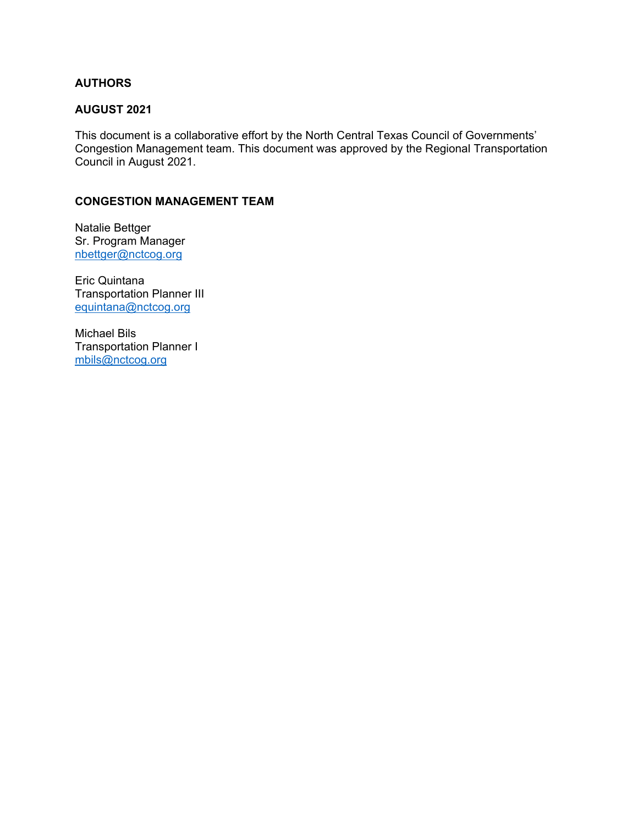### **AUTHORS**

### **AUGUST 2021**

This document is a collaborative effort by the North Central Texas Council of Governments' Congestion Management team. This document was approved by the Regional Transportation Council in August 2021.

### **CONGESTION MANAGEMENT TEAM**

Natalie Bettger Sr. Program Manager nbettger@nctcog.org

Eric Quintana Transportation Planner III equintana@nctcog.org

Michael Bils Transportation Planner I mbils@nctcog.org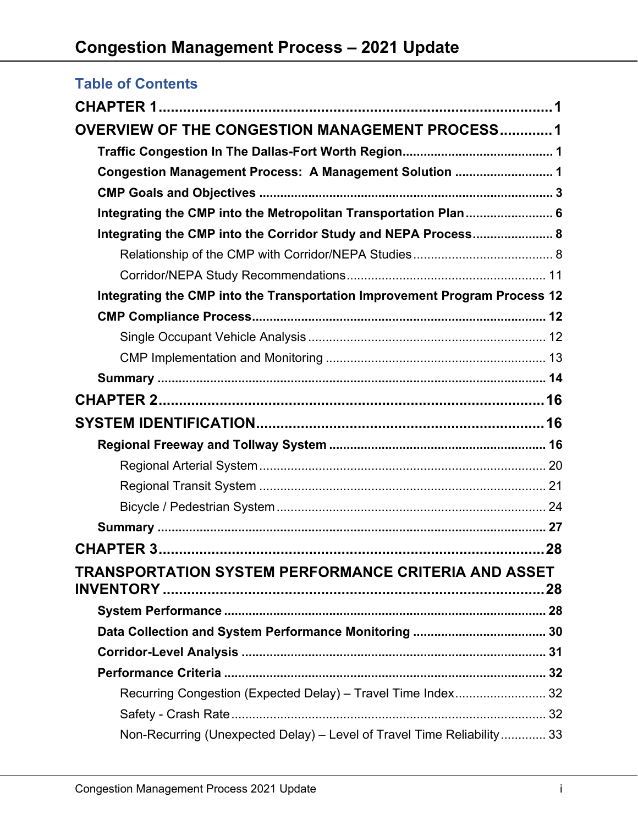# **Table of Contents**

| <b>OVERVIEW OF THE CONGESTION MANAGEMENT PROCESS1</b>                      |  |
|----------------------------------------------------------------------------|--|
|                                                                            |  |
| Congestion Management Process: A Management Solution  1                    |  |
|                                                                            |  |
| Integrating the CMP into the Metropolitan Transportation Plan 6            |  |
| Integrating the CMP into the Corridor Study and NEPA Process 8             |  |
|                                                                            |  |
|                                                                            |  |
| Integrating the CMP into the Transportation Improvement Program Process 12 |  |
|                                                                            |  |
|                                                                            |  |
|                                                                            |  |
|                                                                            |  |
|                                                                            |  |
|                                                                            |  |
|                                                                            |  |
|                                                                            |  |
|                                                                            |  |
|                                                                            |  |
|                                                                            |  |
|                                                                            |  |
| <b>TRANSPORTATION SYSTEM PERFORMANCE CRITERIA AND ASSET</b>                |  |
|                                                                            |  |
|                                                                            |  |
|                                                                            |  |
|                                                                            |  |
|                                                                            |  |
| Recurring Congestion (Expected Delay) - Travel Time Index 32               |  |
|                                                                            |  |
| Non-Recurring (Unexpected Delay) - Level of Travel Time Reliability 33     |  |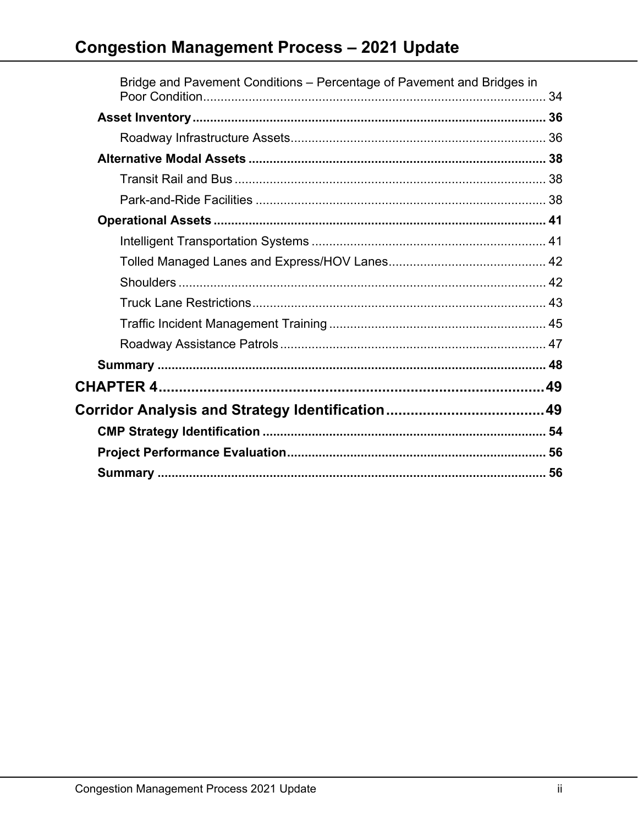# **Congestion Management Process - 2021 Update**

| Bridge and Pavement Conditions – Percentage of Pavement and Bridges in |  |
|------------------------------------------------------------------------|--|
|                                                                        |  |
|                                                                        |  |
|                                                                        |  |
|                                                                        |  |
|                                                                        |  |
|                                                                        |  |
|                                                                        |  |
|                                                                        |  |
|                                                                        |  |
|                                                                        |  |
|                                                                        |  |
|                                                                        |  |
|                                                                        |  |
|                                                                        |  |
|                                                                        |  |
|                                                                        |  |
|                                                                        |  |
|                                                                        |  |
|                                                                        |  |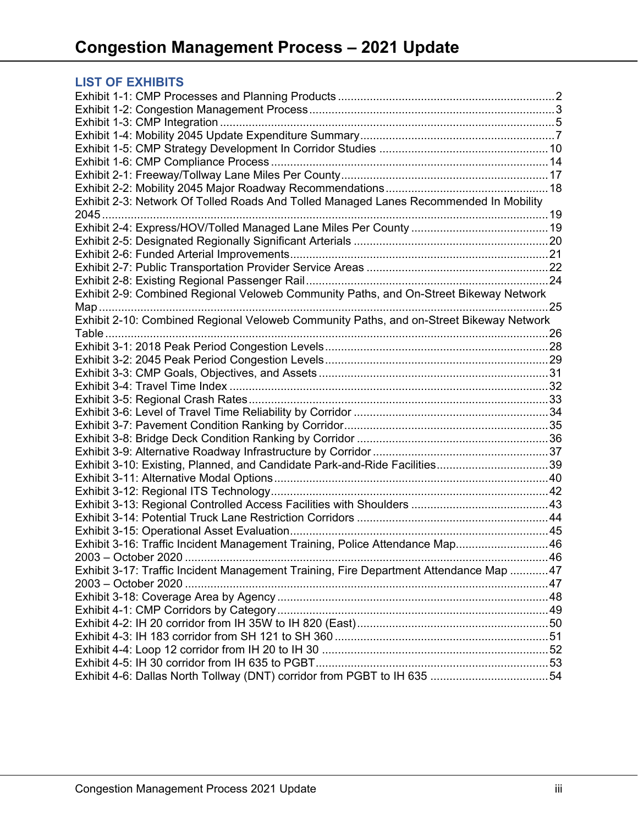## **LIST OF EXHIBITS**

| Exhibit 2-3: Network Of Tolled Roads And Tolled Managed Lanes Recommended In Mobility  |  |
|----------------------------------------------------------------------------------------|--|
|                                                                                        |  |
|                                                                                        |  |
|                                                                                        |  |
|                                                                                        |  |
|                                                                                        |  |
|                                                                                        |  |
| Exhibit 2-9: Combined Regional Veloweb Community Paths, and On-Street Bikeway Network  |  |
|                                                                                        |  |
| Exhibit 2-10: Combined Regional Veloweb Community Paths, and on-Street Bikeway Network |  |
| Table                                                                                  |  |
|                                                                                        |  |
|                                                                                        |  |
|                                                                                        |  |
|                                                                                        |  |
|                                                                                        |  |
|                                                                                        |  |
|                                                                                        |  |
|                                                                                        |  |
|                                                                                        |  |
| Exhibit 3-10: Existing, Planned, and Candidate Park-and-Ride Facilities39              |  |
|                                                                                        |  |
|                                                                                        |  |
|                                                                                        |  |
|                                                                                        |  |
|                                                                                        |  |
| Exhibit 3-16: Traffic Incident Management Training, Police Attendance Map 46           |  |
|                                                                                        |  |
| Exhibit 3-17: Traffic Incident Management Training, Fire Department Attendance Map 47  |  |
|                                                                                        |  |
|                                                                                        |  |
|                                                                                        |  |
|                                                                                        |  |
|                                                                                        |  |
|                                                                                        |  |
|                                                                                        |  |
|                                                                                        |  |